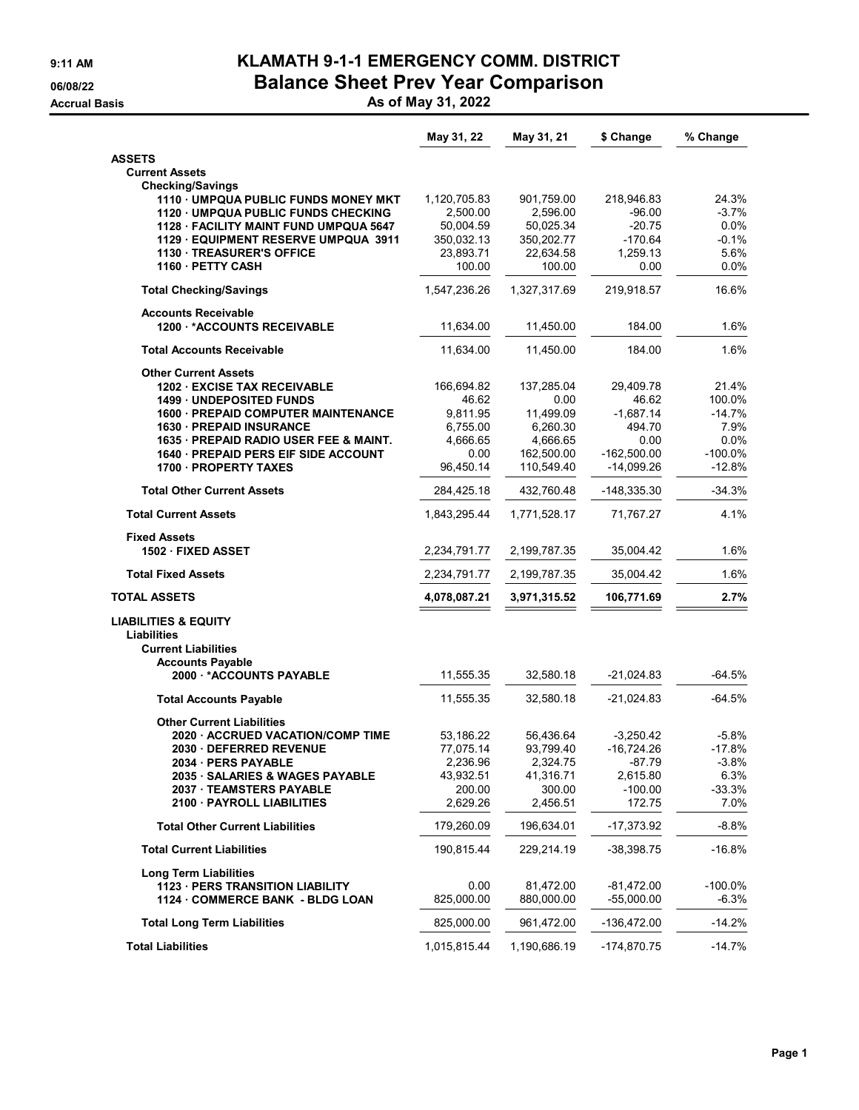## **9:11 AM KLAMATH 9-1-1 EMERGENCY COMM. DISTRICT 06/08/22 Balance Sheet Prev Year Comparison**

**Accrual Basis As of May 31, 2022**

| <b>ASSETS</b><br><b>Current Assets</b><br><b>Checking/Savings</b><br>1110 UMPQUA PUBLIC FUNDS MONEY MKT<br>1,120,705.83<br>901,759.00<br>218,946.83<br>$-3.7\%$<br>1120 UMPQUA PUBLIC FUNDS CHECKING<br>2.500.00<br>2,596.00<br>$-96.00$<br>0.0%<br>1128 · FACILITY MAINT FUND UMPQUA 5647<br>50,004.59<br>50,025.34<br>$-20.75$<br>$-0.1%$<br>350,032.13<br>350,202.77<br>$-170.64$<br>1129 EQUIPMENT RESERVE UMPQUA 3911<br>5.6%<br><b>1130 TREASURER'S OFFICE</b><br>23,893.71<br>22,634.58<br>1,259.13<br>1160 - PETTY CASH<br>100.00<br>100.00<br>0.0%<br>0.00<br>1,547,236.26<br>1,327,317.69<br>219,918.57<br><b>Total Checking/Savings</b><br><b>Accounts Receivable</b><br>1200 *ACCOUNTS RECEIVABLE<br>11,634.00<br>11,450.00<br>184.00<br>11,634.00<br>11,450.00<br>184.00<br><b>Total Accounts Receivable</b><br><b>Other Current Assets</b><br><b>1202 EXCISE TAX RECEIVABLE</b><br>166,694.82<br>137,285.04<br>29,409.78<br><b>1499 UNDEPOSITED FUNDS</b><br>46.62<br>0.00<br>46.62<br>9,811.95<br>11,499.09<br>$-1,687.14$<br>1600 - PREPAID COMPUTER MAINTENANCE<br>1630 - PREPAID INSURANCE<br>6,755.00<br>6,260.30<br>494.70<br>1635 · PREPAID RADIO USER FEE & MAINT.<br>4,666.65<br>4,666.65<br>0.00<br>1640 · PREPAID PERS EIF SIDE ACCOUNT<br>0.00<br>162,500.00<br>$-162,500.00$<br>1700 PROPERTY TAXES<br>110,549.40<br>96,450.14<br>-14,099.26<br><b>Total Other Current Assets</b><br>284,425.18<br>432,760.48<br>-148,335.30<br><b>Total Current Assets</b><br>1,843,295.44<br>1,771,528.17<br>71,767.27<br><b>Fixed Assets</b><br>2,234,791.77<br>2,199,787.35<br>1502 FIXED ASSET<br>35,004.42<br><b>Total Fixed Assets</b><br>2,234,791.77<br>2,199,787.35<br>35,004.42<br><b>TOTAL ASSETS</b><br>4,078,087.21<br>3,971,315.52<br>106,771.69<br><b>LIABILITIES &amp; EQUITY</b><br><b>Liabilities</b><br><b>Current Liabilities</b><br><b>Accounts Payable</b><br>11,555.35<br>32,580.18<br>2000 *ACCOUNTS PAYABLE<br>-21,024.83<br>11,555.35<br>$-64.5%$<br>32,580.18<br>-21,024.83<br><b>Total Accounts Payable</b><br><b>Other Current Liabilities</b><br>56,436.64<br>$-3,250.42$<br>2020 ACCRUED VACATION/COMP TIME<br>53,186.22<br><b>2030 DEFERRED REVENUE</b><br>77,075.14<br>93,799.40<br>-16,724.26<br>2,236.96<br>2,324.75<br>$-87.79$<br>2034 PERS PAYABLE<br>2035 · SALARIES & WAGES PAYABLE<br>43,932.51<br>41,316.71<br>2,615.80<br>$-100.00$<br>2037 TEAMSTERS PAYABLE<br>200.00<br>300.00<br>2,629.26<br>172.75<br>2100 PAYROLL LIABILITIES<br>2,456.51<br>196,634.01<br><b>Total Other Current Liabilities</b><br>179,260.09<br>-17,373.92<br><b>Total Current Liabilities</b><br>190,815.44<br>229,214.19<br>-38,398.75<br><b>Long Term Liabilities</b><br>1123 · PERS TRANSITION LIABILITY<br>0.00<br>81,472.00<br>$-81,472.00$<br>$-100.0\%$<br>825,000.00<br>880,000.00<br>$-55,000.00$<br>1124 COMMERCE BANK - BLDG LOAN<br><b>Total Long Term Liabilities</b><br>825,000.00<br>961,472.00<br>-136,472.00<br>$-14.7%$<br><b>Total Liabilities</b><br>1,015,815.44<br>1,190,686.19<br>-174,870.75 | May 31, 22 | May 31, 21 | \$ Change | % Change  |
|-------------------------------------------------------------------------------------------------------------------------------------------------------------------------------------------------------------------------------------------------------------------------------------------------------------------------------------------------------------------------------------------------------------------------------------------------------------------------------------------------------------------------------------------------------------------------------------------------------------------------------------------------------------------------------------------------------------------------------------------------------------------------------------------------------------------------------------------------------------------------------------------------------------------------------------------------------------------------------------------------------------------------------------------------------------------------------------------------------------------------------------------------------------------------------------------------------------------------------------------------------------------------------------------------------------------------------------------------------------------------------------------------------------------------------------------------------------------------------------------------------------------------------------------------------------------------------------------------------------------------------------------------------------------------------------------------------------------------------------------------------------------------------------------------------------------------------------------------------------------------------------------------------------------------------------------------------------------------------------------------------------------------------------------------------------------------------------------------------------------------------------------------------------------------------------------------------------------------------------------------------------------------------------------------------------------------------------------------------------------------------------------------------------------------------------------------------------------------------------------------------------------------------------------------------------------------------------------------------------------------------------------------------------------------------------------------------------------------------------------------------------------------------------------------------------------------------------------------------------------------------------------------------------------------------------------------------------------------------------------------------------------------------------------------------|------------|------------|-----------|-----------|
|                                                                                                                                                                                                                                                                                                                                                                                                                                                                                                                                                                                                                                                                                                                                                                                                                                                                                                                                                                                                                                                                                                                                                                                                                                                                                                                                                                                                                                                                                                                                                                                                                                                                                                                                                                                                                                                                                                                                                                                                                                                                                                                                                                                                                                                                                                                                                                                                                                                                                                                                                                                                                                                                                                                                                                                                                                                                                                                                                                                                                                                       |            |            |           |           |
|                                                                                                                                                                                                                                                                                                                                                                                                                                                                                                                                                                                                                                                                                                                                                                                                                                                                                                                                                                                                                                                                                                                                                                                                                                                                                                                                                                                                                                                                                                                                                                                                                                                                                                                                                                                                                                                                                                                                                                                                                                                                                                                                                                                                                                                                                                                                                                                                                                                                                                                                                                                                                                                                                                                                                                                                                                                                                                                                                                                                                                                       |            |            |           |           |
|                                                                                                                                                                                                                                                                                                                                                                                                                                                                                                                                                                                                                                                                                                                                                                                                                                                                                                                                                                                                                                                                                                                                                                                                                                                                                                                                                                                                                                                                                                                                                                                                                                                                                                                                                                                                                                                                                                                                                                                                                                                                                                                                                                                                                                                                                                                                                                                                                                                                                                                                                                                                                                                                                                                                                                                                                                                                                                                                                                                                                                                       |            |            |           |           |
|                                                                                                                                                                                                                                                                                                                                                                                                                                                                                                                                                                                                                                                                                                                                                                                                                                                                                                                                                                                                                                                                                                                                                                                                                                                                                                                                                                                                                                                                                                                                                                                                                                                                                                                                                                                                                                                                                                                                                                                                                                                                                                                                                                                                                                                                                                                                                                                                                                                                                                                                                                                                                                                                                                                                                                                                                                                                                                                                                                                                                                                       |            |            |           | 24.3%     |
|                                                                                                                                                                                                                                                                                                                                                                                                                                                                                                                                                                                                                                                                                                                                                                                                                                                                                                                                                                                                                                                                                                                                                                                                                                                                                                                                                                                                                                                                                                                                                                                                                                                                                                                                                                                                                                                                                                                                                                                                                                                                                                                                                                                                                                                                                                                                                                                                                                                                                                                                                                                                                                                                                                                                                                                                                                                                                                                                                                                                                                                       |            |            |           |           |
|                                                                                                                                                                                                                                                                                                                                                                                                                                                                                                                                                                                                                                                                                                                                                                                                                                                                                                                                                                                                                                                                                                                                                                                                                                                                                                                                                                                                                                                                                                                                                                                                                                                                                                                                                                                                                                                                                                                                                                                                                                                                                                                                                                                                                                                                                                                                                                                                                                                                                                                                                                                                                                                                                                                                                                                                                                                                                                                                                                                                                                                       |            |            |           |           |
|                                                                                                                                                                                                                                                                                                                                                                                                                                                                                                                                                                                                                                                                                                                                                                                                                                                                                                                                                                                                                                                                                                                                                                                                                                                                                                                                                                                                                                                                                                                                                                                                                                                                                                                                                                                                                                                                                                                                                                                                                                                                                                                                                                                                                                                                                                                                                                                                                                                                                                                                                                                                                                                                                                                                                                                                                                                                                                                                                                                                                                                       |            |            |           |           |
|                                                                                                                                                                                                                                                                                                                                                                                                                                                                                                                                                                                                                                                                                                                                                                                                                                                                                                                                                                                                                                                                                                                                                                                                                                                                                                                                                                                                                                                                                                                                                                                                                                                                                                                                                                                                                                                                                                                                                                                                                                                                                                                                                                                                                                                                                                                                                                                                                                                                                                                                                                                                                                                                                                                                                                                                                                                                                                                                                                                                                                                       |            |            |           |           |
|                                                                                                                                                                                                                                                                                                                                                                                                                                                                                                                                                                                                                                                                                                                                                                                                                                                                                                                                                                                                                                                                                                                                                                                                                                                                                                                                                                                                                                                                                                                                                                                                                                                                                                                                                                                                                                                                                                                                                                                                                                                                                                                                                                                                                                                                                                                                                                                                                                                                                                                                                                                                                                                                                                                                                                                                                                                                                                                                                                                                                                                       |            |            |           |           |
|                                                                                                                                                                                                                                                                                                                                                                                                                                                                                                                                                                                                                                                                                                                                                                                                                                                                                                                                                                                                                                                                                                                                                                                                                                                                                                                                                                                                                                                                                                                                                                                                                                                                                                                                                                                                                                                                                                                                                                                                                                                                                                                                                                                                                                                                                                                                                                                                                                                                                                                                                                                                                                                                                                                                                                                                                                                                                                                                                                                                                                                       |            |            |           | 16.6%     |
|                                                                                                                                                                                                                                                                                                                                                                                                                                                                                                                                                                                                                                                                                                                                                                                                                                                                                                                                                                                                                                                                                                                                                                                                                                                                                                                                                                                                                                                                                                                                                                                                                                                                                                                                                                                                                                                                                                                                                                                                                                                                                                                                                                                                                                                                                                                                                                                                                                                                                                                                                                                                                                                                                                                                                                                                                                                                                                                                                                                                                                                       |            |            |           |           |
|                                                                                                                                                                                                                                                                                                                                                                                                                                                                                                                                                                                                                                                                                                                                                                                                                                                                                                                                                                                                                                                                                                                                                                                                                                                                                                                                                                                                                                                                                                                                                                                                                                                                                                                                                                                                                                                                                                                                                                                                                                                                                                                                                                                                                                                                                                                                                                                                                                                                                                                                                                                                                                                                                                                                                                                                                                                                                                                                                                                                                                                       |            |            |           | 1.6%      |
|                                                                                                                                                                                                                                                                                                                                                                                                                                                                                                                                                                                                                                                                                                                                                                                                                                                                                                                                                                                                                                                                                                                                                                                                                                                                                                                                                                                                                                                                                                                                                                                                                                                                                                                                                                                                                                                                                                                                                                                                                                                                                                                                                                                                                                                                                                                                                                                                                                                                                                                                                                                                                                                                                                                                                                                                                                                                                                                                                                                                                                                       |            |            |           | 1.6%      |
|                                                                                                                                                                                                                                                                                                                                                                                                                                                                                                                                                                                                                                                                                                                                                                                                                                                                                                                                                                                                                                                                                                                                                                                                                                                                                                                                                                                                                                                                                                                                                                                                                                                                                                                                                                                                                                                                                                                                                                                                                                                                                                                                                                                                                                                                                                                                                                                                                                                                                                                                                                                                                                                                                                                                                                                                                                                                                                                                                                                                                                                       |            |            |           |           |
|                                                                                                                                                                                                                                                                                                                                                                                                                                                                                                                                                                                                                                                                                                                                                                                                                                                                                                                                                                                                                                                                                                                                                                                                                                                                                                                                                                                                                                                                                                                                                                                                                                                                                                                                                                                                                                                                                                                                                                                                                                                                                                                                                                                                                                                                                                                                                                                                                                                                                                                                                                                                                                                                                                                                                                                                                                                                                                                                                                                                                                                       |            |            |           | 21.4%     |
|                                                                                                                                                                                                                                                                                                                                                                                                                                                                                                                                                                                                                                                                                                                                                                                                                                                                                                                                                                                                                                                                                                                                                                                                                                                                                                                                                                                                                                                                                                                                                                                                                                                                                                                                                                                                                                                                                                                                                                                                                                                                                                                                                                                                                                                                                                                                                                                                                                                                                                                                                                                                                                                                                                                                                                                                                                                                                                                                                                                                                                                       |            |            |           | 100.0%    |
|                                                                                                                                                                                                                                                                                                                                                                                                                                                                                                                                                                                                                                                                                                                                                                                                                                                                                                                                                                                                                                                                                                                                                                                                                                                                                                                                                                                                                                                                                                                                                                                                                                                                                                                                                                                                                                                                                                                                                                                                                                                                                                                                                                                                                                                                                                                                                                                                                                                                                                                                                                                                                                                                                                                                                                                                                                                                                                                                                                                                                                                       |            |            |           | $-14.7%$  |
|                                                                                                                                                                                                                                                                                                                                                                                                                                                                                                                                                                                                                                                                                                                                                                                                                                                                                                                                                                                                                                                                                                                                                                                                                                                                                                                                                                                                                                                                                                                                                                                                                                                                                                                                                                                                                                                                                                                                                                                                                                                                                                                                                                                                                                                                                                                                                                                                                                                                                                                                                                                                                                                                                                                                                                                                                                                                                                                                                                                                                                                       |            |            |           | 7.9%      |
|                                                                                                                                                                                                                                                                                                                                                                                                                                                                                                                                                                                                                                                                                                                                                                                                                                                                                                                                                                                                                                                                                                                                                                                                                                                                                                                                                                                                                                                                                                                                                                                                                                                                                                                                                                                                                                                                                                                                                                                                                                                                                                                                                                                                                                                                                                                                                                                                                                                                                                                                                                                                                                                                                                                                                                                                                                                                                                                                                                                                                                                       |            |            |           | 0.0%      |
|                                                                                                                                                                                                                                                                                                                                                                                                                                                                                                                                                                                                                                                                                                                                                                                                                                                                                                                                                                                                                                                                                                                                                                                                                                                                                                                                                                                                                                                                                                                                                                                                                                                                                                                                                                                                                                                                                                                                                                                                                                                                                                                                                                                                                                                                                                                                                                                                                                                                                                                                                                                                                                                                                                                                                                                                                                                                                                                                                                                                                                                       |            |            |           | $-100.0%$ |
|                                                                                                                                                                                                                                                                                                                                                                                                                                                                                                                                                                                                                                                                                                                                                                                                                                                                                                                                                                                                                                                                                                                                                                                                                                                                                                                                                                                                                                                                                                                                                                                                                                                                                                                                                                                                                                                                                                                                                                                                                                                                                                                                                                                                                                                                                                                                                                                                                                                                                                                                                                                                                                                                                                                                                                                                                                                                                                                                                                                                                                                       |            |            |           | $-12.8%$  |
|                                                                                                                                                                                                                                                                                                                                                                                                                                                                                                                                                                                                                                                                                                                                                                                                                                                                                                                                                                                                                                                                                                                                                                                                                                                                                                                                                                                                                                                                                                                                                                                                                                                                                                                                                                                                                                                                                                                                                                                                                                                                                                                                                                                                                                                                                                                                                                                                                                                                                                                                                                                                                                                                                                                                                                                                                                                                                                                                                                                                                                                       |            |            |           | $-34.3%$  |
|                                                                                                                                                                                                                                                                                                                                                                                                                                                                                                                                                                                                                                                                                                                                                                                                                                                                                                                                                                                                                                                                                                                                                                                                                                                                                                                                                                                                                                                                                                                                                                                                                                                                                                                                                                                                                                                                                                                                                                                                                                                                                                                                                                                                                                                                                                                                                                                                                                                                                                                                                                                                                                                                                                                                                                                                                                                                                                                                                                                                                                                       |            |            |           | 4.1%      |
|                                                                                                                                                                                                                                                                                                                                                                                                                                                                                                                                                                                                                                                                                                                                                                                                                                                                                                                                                                                                                                                                                                                                                                                                                                                                                                                                                                                                                                                                                                                                                                                                                                                                                                                                                                                                                                                                                                                                                                                                                                                                                                                                                                                                                                                                                                                                                                                                                                                                                                                                                                                                                                                                                                                                                                                                                                                                                                                                                                                                                                                       |            |            |           |           |
|                                                                                                                                                                                                                                                                                                                                                                                                                                                                                                                                                                                                                                                                                                                                                                                                                                                                                                                                                                                                                                                                                                                                                                                                                                                                                                                                                                                                                                                                                                                                                                                                                                                                                                                                                                                                                                                                                                                                                                                                                                                                                                                                                                                                                                                                                                                                                                                                                                                                                                                                                                                                                                                                                                                                                                                                                                                                                                                                                                                                                                                       |            |            |           | 1.6%      |
|                                                                                                                                                                                                                                                                                                                                                                                                                                                                                                                                                                                                                                                                                                                                                                                                                                                                                                                                                                                                                                                                                                                                                                                                                                                                                                                                                                                                                                                                                                                                                                                                                                                                                                                                                                                                                                                                                                                                                                                                                                                                                                                                                                                                                                                                                                                                                                                                                                                                                                                                                                                                                                                                                                                                                                                                                                                                                                                                                                                                                                                       |            |            |           | 1.6%      |
|                                                                                                                                                                                                                                                                                                                                                                                                                                                                                                                                                                                                                                                                                                                                                                                                                                                                                                                                                                                                                                                                                                                                                                                                                                                                                                                                                                                                                                                                                                                                                                                                                                                                                                                                                                                                                                                                                                                                                                                                                                                                                                                                                                                                                                                                                                                                                                                                                                                                                                                                                                                                                                                                                                                                                                                                                                                                                                                                                                                                                                                       |            |            |           | 2.7%      |
|                                                                                                                                                                                                                                                                                                                                                                                                                                                                                                                                                                                                                                                                                                                                                                                                                                                                                                                                                                                                                                                                                                                                                                                                                                                                                                                                                                                                                                                                                                                                                                                                                                                                                                                                                                                                                                                                                                                                                                                                                                                                                                                                                                                                                                                                                                                                                                                                                                                                                                                                                                                                                                                                                                                                                                                                                                                                                                                                                                                                                                                       |            |            |           |           |
|                                                                                                                                                                                                                                                                                                                                                                                                                                                                                                                                                                                                                                                                                                                                                                                                                                                                                                                                                                                                                                                                                                                                                                                                                                                                                                                                                                                                                                                                                                                                                                                                                                                                                                                                                                                                                                                                                                                                                                                                                                                                                                                                                                                                                                                                                                                                                                                                                                                                                                                                                                                                                                                                                                                                                                                                                                                                                                                                                                                                                                                       |            |            |           |           |
|                                                                                                                                                                                                                                                                                                                                                                                                                                                                                                                                                                                                                                                                                                                                                                                                                                                                                                                                                                                                                                                                                                                                                                                                                                                                                                                                                                                                                                                                                                                                                                                                                                                                                                                                                                                                                                                                                                                                                                                                                                                                                                                                                                                                                                                                                                                                                                                                                                                                                                                                                                                                                                                                                                                                                                                                                                                                                                                                                                                                                                                       |            |            |           |           |
|                                                                                                                                                                                                                                                                                                                                                                                                                                                                                                                                                                                                                                                                                                                                                                                                                                                                                                                                                                                                                                                                                                                                                                                                                                                                                                                                                                                                                                                                                                                                                                                                                                                                                                                                                                                                                                                                                                                                                                                                                                                                                                                                                                                                                                                                                                                                                                                                                                                                                                                                                                                                                                                                                                                                                                                                                                                                                                                                                                                                                                                       |            |            |           | $-64.5%$  |
|                                                                                                                                                                                                                                                                                                                                                                                                                                                                                                                                                                                                                                                                                                                                                                                                                                                                                                                                                                                                                                                                                                                                                                                                                                                                                                                                                                                                                                                                                                                                                                                                                                                                                                                                                                                                                                                                                                                                                                                                                                                                                                                                                                                                                                                                                                                                                                                                                                                                                                                                                                                                                                                                                                                                                                                                                                                                                                                                                                                                                                                       |            |            |           |           |
|                                                                                                                                                                                                                                                                                                                                                                                                                                                                                                                                                                                                                                                                                                                                                                                                                                                                                                                                                                                                                                                                                                                                                                                                                                                                                                                                                                                                                                                                                                                                                                                                                                                                                                                                                                                                                                                                                                                                                                                                                                                                                                                                                                                                                                                                                                                                                                                                                                                                                                                                                                                                                                                                                                                                                                                                                                                                                                                                                                                                                                                       |            |            |           |           |
|                                                                                                                                                                                                                                                                                                                                                                                                                                                                                                                                                                                                                                                                                                                                                                                                                                                                                                                                                                                                                                                                                                                                                                                                                                                                                                                                                                                                                                                                                                                                                                                                                                                                                                                                                                                                                                                                                                                                                                                                                                                                                                                                                                                                                                                                                                                                                                                                                                                                                                                                                                                                                                                                                                                                                                                                                                                                                                                                                                                                                                                       |            |            |           | $-5.8%$   |
|                                                                                                                                                                                                                                                                                                                                                                                                                                                                                                                                                                                                                                                                                                                                                                                                                                                                                                                                                                                                                                                                                                                                                                                                                                                                                                                                                                                                                                                                                                                                                                                                                                                                                                                                                                                                                                                                                                                                                                                                                                                                                                                                                                                                                                                                                                                                                                                                                                                                                                                                                                                                                                                                                                                                                                                                                                                                                                                                                                                                                                                       |            |            |           | $-17.8%$  |
|                                                                                                                                                                                                                                                                                                                                                                                                                                                                                                                                                                                                                                                                                                                                                                                                                                                                                                                                                                                                                                                                                                                                                                                                                                                                                                                                                                                                                                                                                                                                                                                                                                                                                                                                                                                                                                                                                                                                                                                                                                                                                                                                                                                                                                                                                                                                                                                                                                                                                                                                                                                                                                                                                                                                                                                                                                                                                                                                                                                                                                                       |            |            |           | $-3.8%$   |
|                                                                                                                                                                                                                                                                                                                                                                                                                                                                                                                                                                                                                                                                                                                                                                                                                                                                                                                                                                                                                                                                                                                                                                                                                                                                                                                                                                                                                                                                                                                                                                                                                                                                                                                                                                                                                                                                                                                                                                                                                                                                                                                                                                                                                                                                                                                                                                                                                                                                                                                                                                                                                                                                                                                                                                                                                                                                                                                                                                                                                                                       |            |            |           | 6.3%      |
|                                                                                                                                                                                                                                                                                                                                                                                                                                                                                                                                                                                                                                                                                                                                                                                                                                                                                                                                                                                                                                                                                                                                                                                                                                                                                                                                                                                                                                                                                                                                                                                                                                                                                                                                                                                                                                                                                                                                                                                                                                                                                                                                                                                                                                                                                                                                                                                                                                                                                                                                                                                                                                                                                                                                                                                                                                                                                                                                                                                                                                                       |            |            |           | $-33.3%$  |
|                                                                                                                                                                                                                                                                                                                                                                                                                                                                                                                                                                                                                                                                                                                                                                                                                                                                                                                                                                                                                                                                                                                                                                                                                                                                                                                                                                                                                                                                                                                                                                                                                                                                                                                                                                                                                                                                                                                                                                                                                                                                                                                                                                                                                                                                                                                                                                                                                                                                                                                                                                                                                                                                                                                                                                                                                                                                                                                                                                                                                                                       |            |            |           | 7.0%      |
|                                                                                                                                                                                                                                                                                                                                                                                                                                                                                                                                                                                                                                                                                                                                                                                                                                                                                                                                                                                                                                                                                                                                                                                                                                                                                                                                                                                                                                                                                                                                                                                                                                                                                                                                                                                                                                                                                                                                                                                                                                                                                                                                                                                                                                                                                                                                                                                                                                                                                                                                                                                                                                                                                                                                                                                                                                                                                                                                                                                                                                                       |            |            |           | $-8.8%$   |
|                                                                                                                                                                                                                                                                                                                                                                                                                                                                                                                                                                                                                                                                                                                                                                                                                                                                                                                                                                                                                                                                                                                                                                                                                                                                                                                                                                                                                                                                                                                                                                                                                                                                                                                                                                                                                                                                                                                                                                                                                                                                                                                                                                                                                                                                                                                                                                                                                                                                                                                                                                                                                                                                                                                                                                                                                                                                                                                                                                                                                                                       |            |            |           | $-16.8%$  |
|                                                                                                                                                                                                                                                                                                                                                                                                                                                                                                                                                                                                                                                                                                                                                                                                                                                                                                                                                                                                                                                                                                                                                                                                                                                                                                                                                                                                                                                                                                                                                                                                                                                                                                                                                                                                                                                                                                                                                                                                                                                                                                                                                                                                                                                                                                                                                                                                                                                                                                                                                                                                                                                                                                                                                                                                                                                                                                                                                                                                                                                       |            |            |           |           |
|                                                                                                                                                                                                                                                                                                                                                                                                                                                                                                                                                                                                                                                                                                                                                                                                                                                                                                                                                                                                                                                                                                                                                                                                                                                                                                                                                                                                                                                                                                                                                                                                                                                                                                                                                                                                                                                                                                                                                                                                                                                                                                                                                                                                                                                                                                                                                                                                                                                                                                                                                                                                                                                                                                                                                                                                                                                                                                                                                                                                                                                       |            |            |           |           |
|                                                                                                                                                                                                                                                                                                                                                                                                                                                                                                                                                                                                                                                                                                                                                                                                                                                                                                                                                                                                                                                                                                                                                                                                                                                                                                                                                                                                                                                                                                                                                                                                                                                                                                                                                                                                                                                                                                                                                                                                                                                                                                                                                                                                                                                                                                                                                                                                                                                                                                                                                                                                                                                                                                                                                                                                                                                                                                                                                                                                                                                       |            |            |           | $-6.3%$   |
|                                                                                                                                                                                                                                                                                                                                                                                                                                                                                                                                                                                                                                                                                                                                                                                                                                                                                                                                                                                                                                                                                                                                                                                                                                                                                                                                                                                                                                                                                                                                                                                                                                                                                                                                                                                                                                                                                                                                                                                                                                                                                                                                                                                                                                                                                                                                                                                                                                                                                                                                                                                                                                                                                                                                                                                                                                                                                                                                                                                                                                                       |            |            |           | $-14.2%$  |
|                                                                                                                                                                                                                                                                                                                                                                                                                                                                                                                                                                                                                                                                                                                                                                                                                                                                                                                                                                                                                                                                                                                                                                                                                                                                                                                                                                                                                                                                                                                                                                                                                                                                                                                                                                                                                                                                                                                                                                                                                                                                                                                                                                                                                                                                                                                                                                                                                                                                                                                                                                                                                                                                                                                                                                                                                                                                                                                                                                                                                                                       |            |            |           |           |